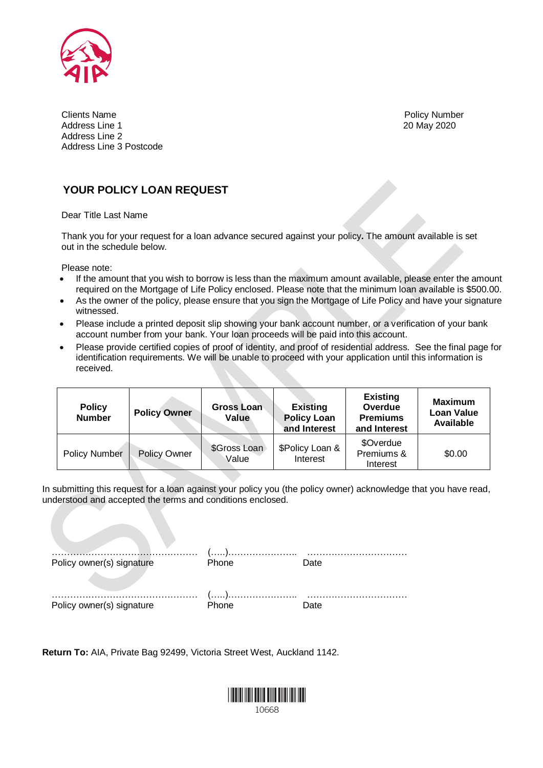

Policy Number 20 May 2020

Clients Name Address Line 1 Address Line 2 Address Line 3 Postcode

### **YOUR POLICY LOAN REQUEST**

Dear Title Last Name

Thank you for your request for a loan advance secured against your policy**.** The amount available is set out in the schedule below.

Please note:

- If the amount that you wish to borrow is less than the maximum amount available, please enter the amount required on the Mortgage of Life Policy enclosed. Please note that the minimum loan available is \$500.00.
- As the owner of the policy, please ensure that you sign the Mortgage of Life Policy and have your signature witnessed.
- Please include a printed deposit slip showing your bank account number, or a verification of your bank account number from your bank. Your loan proceeds will be paid into this account.
- Please provide certified copies of proof of identity, and proof of residential address. See the final page for identification requirements. We will be unable to proceed with your application until this information is received.

| <b>Policy</b><br><b>Number</b> | <b>Policy Owner</b> | Gross Loan<br>Value   | <b>Existing</b><br><b>Policy Loan</b><br>and Interest | <b>Existing</b><br>Overdue<br><b>Premiums</b><br>and Interest | <b>Maximum</b><br>Loan Value<br>Available |
|--------------------------------|---------------------|-----------------------|-------------------------------------------------------|---------------------------------------------------------------|-------------------------------------------|
| Policy Number                  | <b>Policy Owner</b> | \$Gross Loan<br>Value | \$Policy Loan &<br>Interest                           | \$Overdue<br>Premiums &<br>Interest                           | \$0.00                                    |

In submitting this request for a loan against your policy you (the policy owner) acknowledge that you have read, understood and accepted the terms and conditions enclosed.

| Policy owner(s) signature | Phone | Date |
|---------------------------|-------|------|
| Policy owner(s) signature | Phone | Date |

**Return To:** AIA, Private Bag 92499, Victoria Street West, Auckland 1142.

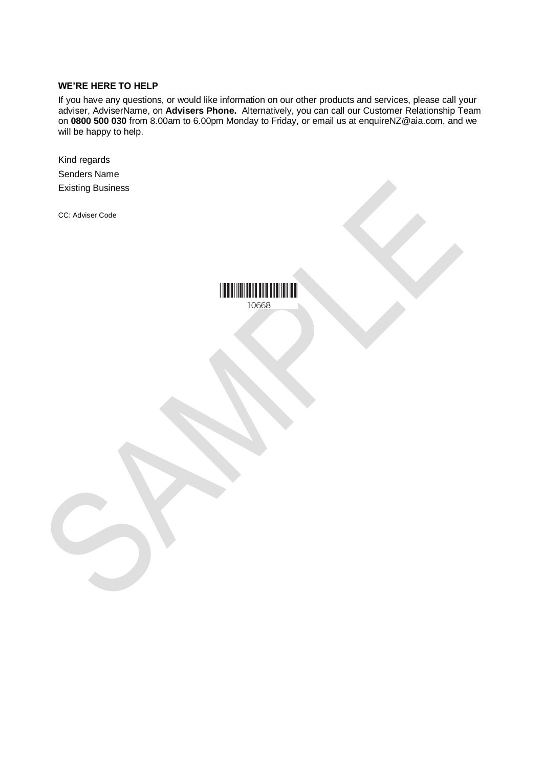#### **WE'RE HERE TO HELP**

If you have any questions, or would like information on our other products and services, please call your adviser, AdviserName, on **Advisers Phone.** Alternatively, you can call our Customer Relationship Team on **0800 500 030** from 8.00am to 6.00pm Monday to Friday, or email us at enquireNZ@aia.com, and we will be happy to help.

Kind regards Senders Name Existing Business

CC: Adviser Code

**THE REAL PROPERTY OF A** 10668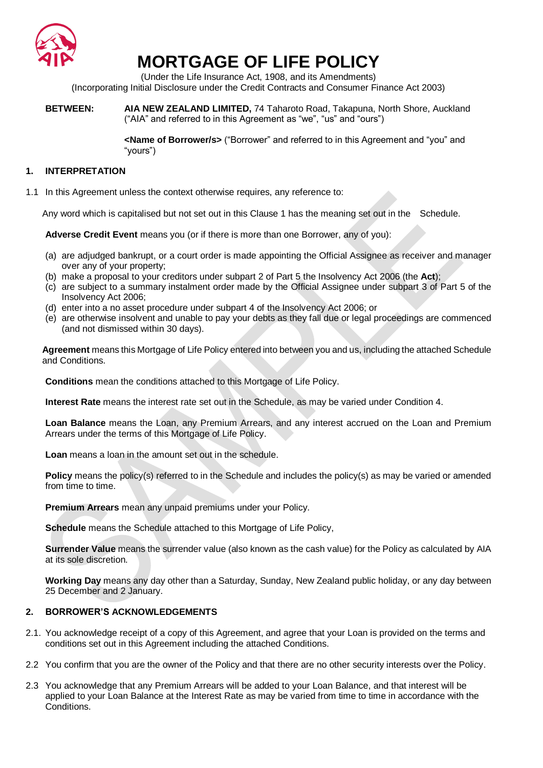

## **MORTGAGE OF LIFE POLICY**

(Under the Life Insurance Act, 1908, and its Amendments) (Incorporating Initial Disclosure under the Credit Contracts and Consumer Finance Act 2003)

**BETWEEN: AIA NEW ZEALAND LIMITED,** 74 Taharoto Road, Takapuna, North Shore, Auckland ("AIA" and referred to in this Agreement as "we", "us" and "ours")

> **<Name of Borrower/s>** ("Borrower" and referred to in this Agreement and "you" and "yours")

#### **1. INTERPRETATION**

1.1 In this Agreement unless the context otherwise requires, any reference to:

Any word which is capitalised but not set out in this Clause 1 has the meaning set out in the Schedule.

**Adverse Credit Event** means you (or if there is more than one Borrower, any of you):

- (a) are adjudged bankrupt, or a court order is made appointing the Official Assignee as receiver and manager over any of your property;
- (b) make a proposal to your creditors under subpart 2 of Part 5 the Insolvency Act 2006 (the **Act**);
- (c) are subject to a summary instalment order made by the Official Assignee under subpart 3 of Part 5 of the Insolvency Act 2006;
- (d) enter into a no asset procedure under subpart 4 of the Insolvency Act 2006; or
- (e) are otherwise insolvent and unable to pay your debts as they fall due or legal proceedings are commenced (and not dismissed within 30 days).

**Agreement** means this Mortgage of Life Policy entered into between you and us, including the attached Schedule and Conditions.

**Conditions** mean the conditions attached to this Mortgage of Life Policy.

**Interest Rate** means the interest rate set out in the Schedule, as may be varied under Condition 4.

**Loan Balance** means the Loan, any Premium Arrears, and any interest accrued on the Loan and Premium Arrears under the terms of this Mortgage of Life Policy.

**Loan** means a loan in the amount set out in the schedule.

**Policy** means the policy(s) referred to in the Schedule and includes the policy(s) as may be varied or amended from time to time.

**Premium Arrears** mean any unpaid premiums under your Policy.

**Schedule** means the Schedule attached to this Mortgage of Life Policy,

**Surrender Value** means the surrender value (also known as the cash value) for the Policy as calculated by AIA at its sole discretion.

**Working Day** means any day other than a Saturday, Sunday, New Zealand public holiday, or any day between 25 December and 2 January.

#### **2. BORROWER'S ACKNOWLEDGEMENTS**

- 2.1. You acknowledge receipt of a copy of this Agreement, and agree that your Loan is provided on the terms and conditions set out in this Agreement including the attached Conditions.
- 2.2 You confirm that you are the owner of the Policy and that there are no other security interests over the Policy.
- 2.3 You acknowledge that any Premium Arrears will be added to your Loan Balance, and that interest will be applied to your Loan Balance at the Interest Rate as may be varied from time to time in accordance with the Conditions.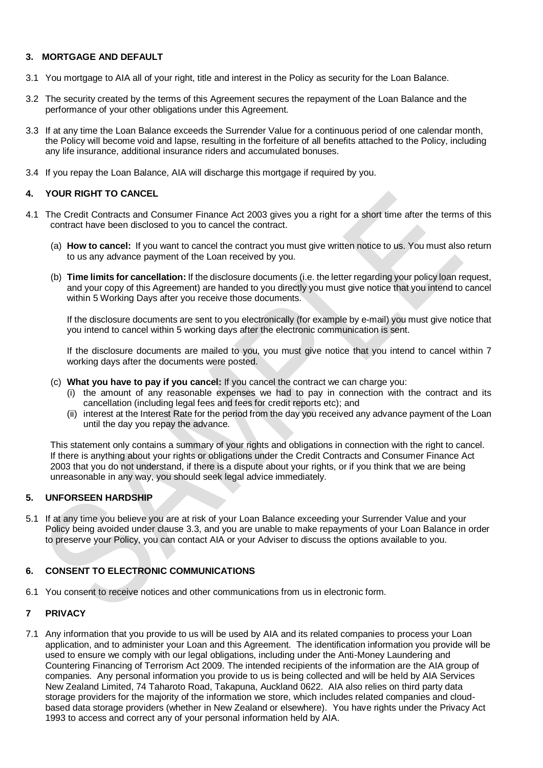#### **3. MORTGAGE AND DEFAULT**

- 3.1 You mortgage to AIA all of your right, title and interest in the Policy as security for the Loan Balance.
- 3.2 The security created by the terms of this Agreement secures the repayment of the Loan Balance and the performance of your other obligations under this Agreement.
- 3.3 If at any time the Loan Balance exceeds the Surrender Value for a continuous period of one calendar month, the Policy will become void and lapse, resulting in the forfeiture of all benefits attached to the Policy, including any life insurance, additional insurance riders and accumulated bonuses.
- 3.4 If you repay the Loan Balance, AIA will discharge this mortgage if required by you.

#### **4. YOUR RIGHT TO CANCEL**

- 4.1 The Credit Contracts and Consumer Finance Act 2003 gives you a right for a short time after the terms of this contract have been disclosed to you to cancel the contract.
	- (a) **How to cancel:** If you want to cancel the contract you must give written notice to us. You must also return to us any advance payment of the Loan received by you.
	- (b) **Time limits for cancellation:** If the disclosure documents (i.e. the letter regarding your policy loan request, and your copy of this Agreement) are handed to you directly you must give notice that you intend to cancel within 5 Working Days after you receive those documents.

If the disclosure documents are sent to you electronically (for example by e-mail) you must give notice that you intend to cancel within 5 working days after the electronic communication is sent.

If the disclosure documents are mailed to you, you must give notice that you intend to cancel within 7 working days after the documents were posted.

- (c) **What you have to pay if you cancel:** If you cancel the contract we can charge you:
	- (i) the amount of any reasonable expenses we had to pay in connection with the contract and its cancellation (including legal fees and fees for credit reports etc); and
	- (ii) interest at the Interest Rate for the period from the day you received any advance payment of the Loan until the day you repay the advance.

This statement only contains a summary of your rights and obligations in connection with the right to cancel. If there is anything about your rights or obligations under the Credit Contracts and Consumer Finance Act 2003 that you do not understand, if there is a dispute about your rights, or if you think that we are being unreasonable in any way, you should seek legal advice immediately.

#### **5. UNFORSEEN HARDSHIP**

5.1 If at any time you believe you are at risk of your Loan Balance exceeding your Surrender Value and your Policy being avoided under clause 3.3, and you are unable to make repayments of your Loan Balance in order to preserve your Policy, you can contact AIA or your Adviser to discuss the options available to you.

#### **6. CONSENT TO ELECTRONIC COMMUNICATIONS**

6.1 You consent to receive notices and other communications from us in electronic form.

#### **7 PRIVACY**

7.1 Any information that you provide to us will be used by AIA and its related companies to process your Loan application, and to administer your Loan and this Agreement. The identification information you provide will be used to ensure we comply with our legal obligations, including under the Anti-Money Laundering and Countering Financing of Terrorism Act 2009. The intended recipients of the information are the AIA group of companies. Any personal information you provide to us is being collected and will be held by AIA Services New Zealand Limited, 74 Taharoto Road, Takapuna, Auckland 0622. AIA also relies on third party data storage providers for the majority of the information we store, which includes related companies and cloudbased data storage providers (whether in New Zealand or elsewhere). You have rights under the Privacy Act 1993 to access and correct any of your personal information held by AIA.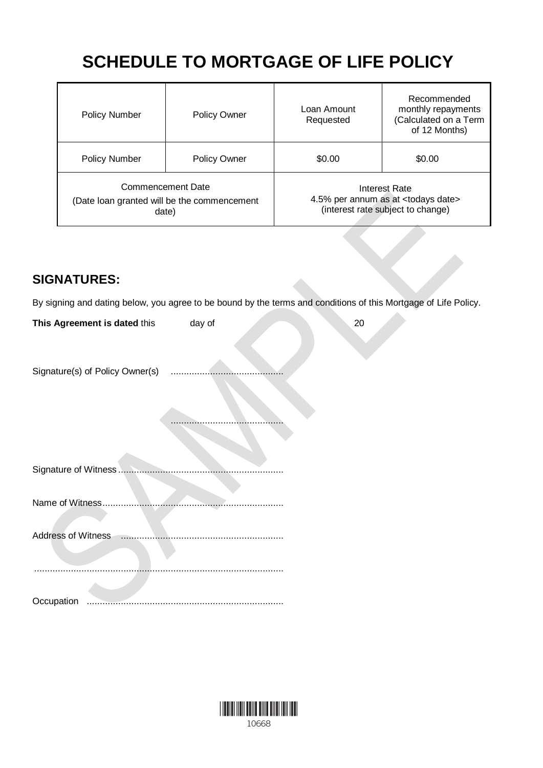# **SCHEDULE TO MORTGAGE OF LIFE POLICY**

| <b>Policy Number</b> | <b>Policy Owner</b>                                                       | Loan Amount<br>Requested                                                                              | Recommended<br>monthly repayments<br>(Calculated on a Term<br>of 12 Months) |
|----------------------|---------------------------------------------------------------------------|-------------------------------------------------------------------------------------------------------|-----------------------------------------------------------------------------|
| <b>Policy Number</b> | <b>Policy Owner</b>                                                       | \$0.00                                                                                                | \$0.00                                                                      |
|                      | Commencement Date<br>(Date loan granted will be the commencement<br>date) | Interest Rate<br>4.5% per annum as at <todays date=""><br/>(interest rate subject to change)</todays> |                                                                             |

### **SIGNATURES:**

By signing and dating below, you agree to be bound by the terms and conditions of this Mortgage of Life Policy.

| This Agreement is dated this    | day of | 20 |
|---------------------------------|--------|----|
| Signature(s) of Policy Owner(s) |        |    |
|                                 |        |    |
| Signature of Witness            |        |    |
| Name of Witness.                |        |    |
| <b>Address of Witness</b>       |        |    |
|                                 |        |    |
| Occupation<br>.                 |        |    |

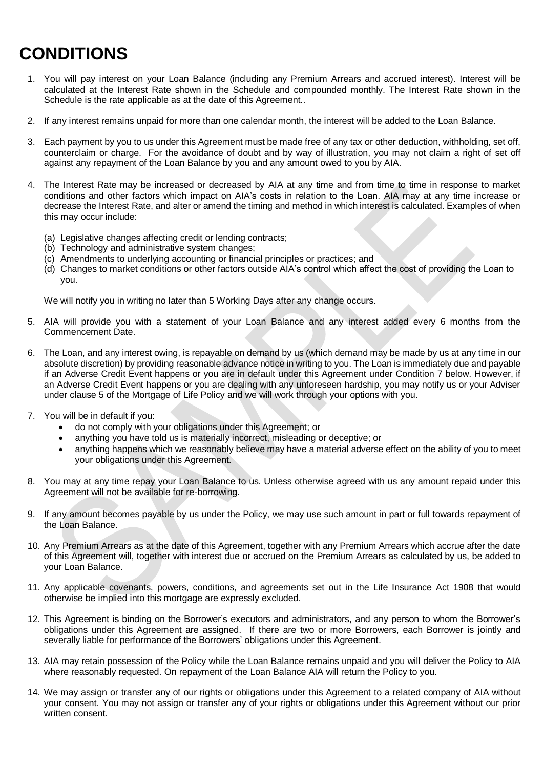# **CONDITIONS**

- 1. You will pay interest on your Loan Balance (including any Premium Arrears and accrued interest). Interest will be calculated at the Interest Rate shown in the Schedule and compounded monthly. The Interest Rate shown in the Schedule is the rate applicable as at the date of this Agreement..
- 2. If any interest remains unpaid for more than one calendar month, the interest will be added to the Loan Balance.
- 3. Each payment by you to us under this Agreement must be made free of any tax or other deduction, withholding, set off, counterclaim or charge. For the avoidance of doubt and by way of illustration, you may not claim a right of set off against any repayment of the Loan Balance by you and any amount owed to you by AIA.
- 4. The Interest Rate may be increased or decreased by AIA at any time and from time to time in response to market conditions and other factors which impact on AIA's costs in relation to the Loan. AIA may at any time increase or decrease the Interest Rate, and alter or amend the timing and method in which interest is calculated. Examples of when this may occur include:
	- (a) Legislative changes affecting credit or lending contracts;
	- (b) Technology and administrative system changes;
	- (c) Amendments to underlying accounting or financial principles or practices; and
	- (d) Changes to market conditions or other factors outside AIA's control which affect the cost of providing the Loan to you.

We will notify you in writing no later than 5 Working Days after any change occurs.

- 5. AIA will provide you with a statement of your Loan Balance and any interest added every 6 months from the Commencement Date.
- 6. The Loan, and any interest owing, is repayable on demand by us (which demand may be made by us at any time in our absolute discretion) by providing reasonable advance notice in writing to you. The Loan is immediately due and payable if an Adverse Credit Event happens or you are in default under this Agreement under Condition 7 below. However, if an Adverse Credit Event happens or you are dealing with any unforeseen hardship, you may notify us or your Adviser under clause 5 of the Mortgage of Life Policy and we will work through your options with you.
- 7. You will be in default if you:
	- do not comply with your obligations under this Agreement; or
	- anything you have told us is materially incorrect, misleading or deceptive; or
	- anything happens which we reasonably believe may have a material adverse effect on the ability of you to meet your obligations under this Agreement.
- 8. You may at any time repay your Loan Balance to us. Unless otherwise agreed with us any amount repaid under this Agreement will not be available for re-borrowing.
- 9. If any amount becomes payable by us under the Policy, we may use such amount in part or full towards repayment of the Loan Balance.
- 10. Any Premium Arrears as at the date of this Agreement, together with any Premium Arrears which accrue after the date of this Agreement will, together with interest due or accrued on the Premium Arrears as calculated by us, be added to your Loan Balance.
- 11. Any applicable covenants, powers, conditions, and agreements set out in the Life Insurance Act 1908 that would otherwise be implied into this mortgage are expressly excluded.
- 12. This Agreement is binding on the Borrower's executors and administrators, and any person to whom the Borrower's obligations under this Agreement are assigned. If there are two or more Borrowers, each Borrower is jointly and severally liable for performance of the Borrowers' obligations under this Agreement.
- 13. AIA may retain possession of the Policy while the Loan Balance remains unpaid and you will deliver the Policy to AIA where reasonably requested. On repayment of the Loan Balance AIA will return the Policy to you.
- 14. We may assign or transfer any of our rights or obligations under this Agreement to a related company of AIA without your consent. You may not assign or transfer any of your rights or obligations under this Agreement without our prior written consent.